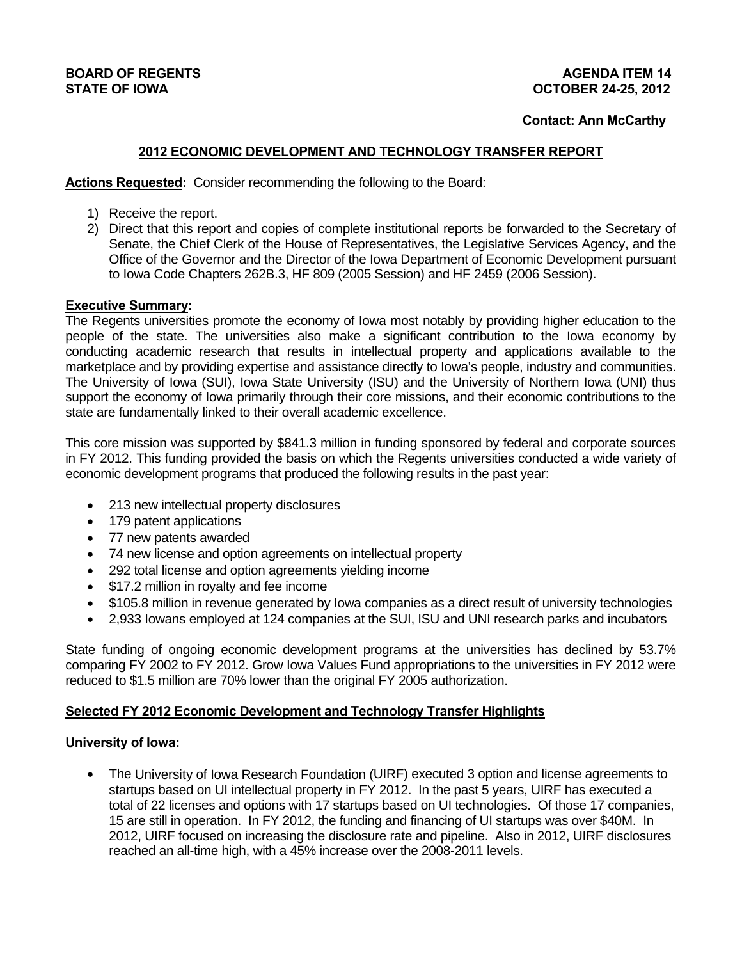## **Contact: Ann McCarthy**

## **2012 ECONOMIC DEVELOPMENT AND TECHNOLOGY TRANSFER REPORT**

**Actions Requested:** Consider recommending the following to the Board:

- 1) Receive the report.
- 2) Direct that this report and copies of complete institutional reports be forwarded to the Secretary of Senate, the Chief Clerk of the House of Representatives, the Legislative Services Agency, and the Office of the Governor and the Director of the Iowa Department of Economic Development pursuant to Iowa Code Chapters 262B.3, HF 809 (2005 Session) and HF 2459 (2006 Session).

#### **Executive Summary:**

The Regents universities promote the economy of Iowa most notably by providing higher education to the people of the state. The universities also make a significant contribution to the Iowa economy by conducting academic research that results in intellectual property and applications available to the marketplace and by providing expertise and assistance directly to Iowa's people, industry and communities. The University of Iowa (SUI), Iowa State University (ISU) and the University of Northern Iowa (UNI) thus support the economy of Iowa primarily through their core missions, and their economic contributions to the state are fundamentally linked to their overall academic excellence.

This core mission was supported by \$841.3 million in funding sponsored by federal and corporate sources in FY 2012. This funding provided the basis on which the Regents universities conducted a wide variety of economic development programs that produced the following results in the past year:

- 213 new intellectual property disclosures
- 179 patent applications
- 77 new patents awarded
- 74 new license and option agreements on intellectual property
- 292 total license and option agreements yielding income
- \$17.2 million in royalty and fee income
- \$105.8 million in revenue generated by Iowa companies as a direct result of university technologies
- 2,933 Iowans employed at 124 companies at the SUI, ISU and UNI research parks and incubators

State funding of ongoing economic development programs at the universities has declined by 53.7% comparing FY 2002 to FY 2012. Grow Iowa Values Fund appropriations to the universities in FY 2012 were reduced to \$1.5 million are 70% lower than the original FY 2005 authorization.

#### **Selected FY 2012 Economic Development and Technology Transfer Highlights**

#### **University of Iowa:**

 The University of Iowa Research Foundation (UIRF) executed 3 option and license agreements to startups based on UI intellectual property in FY 2012. In the past 5 years, UIRF has executed a total of 22 licenses and options with 17 startups based on UI technologies. Of those 17 companies, 15 are still in operation. In FY 2012, the funding and financing of UI startups was over \$40M.In 2012, UIRF focused on increasing the disclosure rate and pipeline. Also in 2012, UIRF disclosures reached an all-time high, with a 45% increase over the 2008-2011 levels.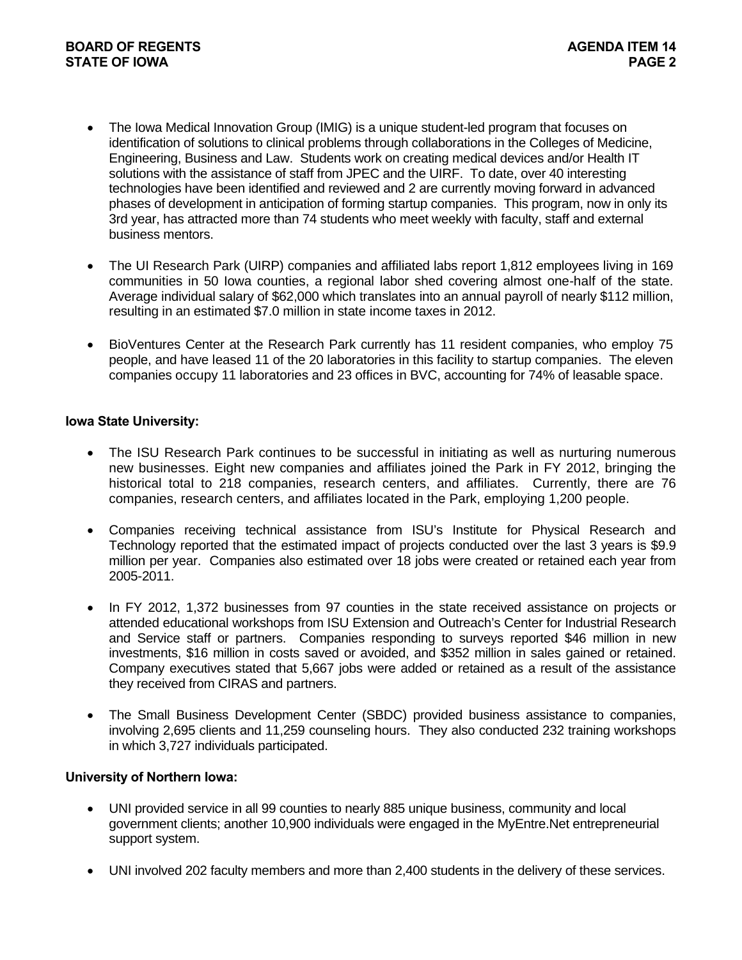- The Iowa Medical Innovation Group (IMIG) is a unique student-led program that focuses on identification of solutions to clinical problems through collaborations in the Colleges of Medicine, Engineering, Business and Law. Students work on creating medical devices and/or Health IT solutions with the assistance of staff from JPEC and the UIRF. To date, over 40 interesting technologies have been identified and reviewed and 2 are currently moving forward in advanced phases of development in anticipation of forming startup companies. This program, now in only its 3rd year, has attracted more than 74 students who meet weekly with faculty, staff and external business mentors.
- The UI Research Park (UIRP) companies and affiliated labs report 1,812 employees living in 169 communities in 50 Iowa counties, a regional labor shed covering almost one-half of the state. Average individual salary of \$62,000 which translates into an annual payroll of nearly \$112 million, resulting in an estimated \$7.0 million in state income taxes in 2012.
- BioVentures Center at the Research Park currently has 11 resident companies, who employ 75 people, and have leased 11 of the 20 laboratories in this facility to startup companies. The eleven companies occupy 11 laboratories and 23 offices in BVC, accounting for 74% of leasable space.

## **Iowa State University:**

- The ISU Research Park continues to be successful in initiating as well as nurturing numerous new businesses. Eight new companies and affiliates joined the Park in FY 2012, bringing the historical total to 218 companies, research centers, and affiliates. Currently, there are 76 companies, research centers, and affiliates located in the Park, employing 1,200 people.
- Companies receiving technical assistance from ISU's Institute for Physical Research and Technology reported that the estimated impact of projects conducted over the last 3 years is \$9.9 million per year. Companies also estimated over 18 jobs were created or retained each year from 2005-2011.
- In FY 2012, 1,372 businesses from 97 counties in the state received assistance on projects or attended educational workshops from ISU Extension and Outreach's Center for Industrial Research and Service staff or partners. Companies responding to surveys reported \$46 million in new investments, \$16 million in costs saved or avoided, and \$352 million in sales gained or retained. Company executives stated that 5,667 jobs were added or retained as a result of the assistance they received from CIRAS and partners.
- The Small Business Development Center (SBDC) provided business assistance to companies, involving 2,695 clients and 11,259 counseling hours. They also conducted 232 training workshops in which 3,727 individuals participated.

#### **University of Northern Iowa:**

- UNI provided service in all 99 counties to nearly 885 unique business, community and local government clients; another 10,900 individuals were engaged in the MyEntre.Net entrepreneurial support system.
- UNI involved 202 faculty members and more than 2,400 students in the delivery of these services.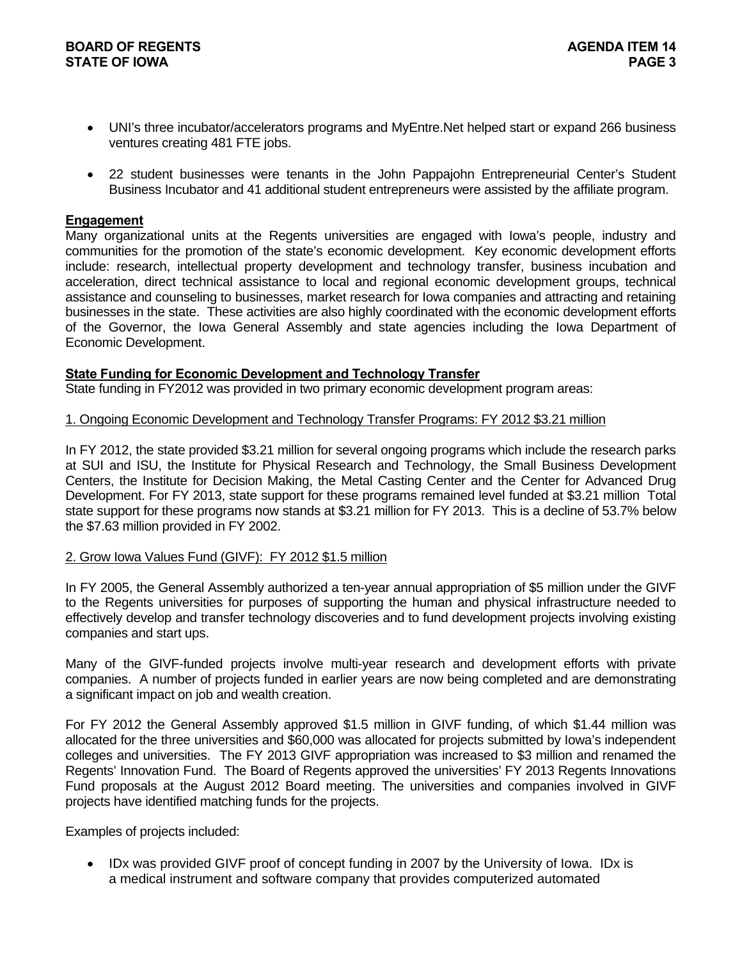- UNI's three incubator/accelerators programs and MyEntre.Net helped start or expand 266 business ventures creating 481 FTE jobs.
- 22 student businesses were tenants in the John Pappajohn Entrepreneurial Center's Student Business Incubator and 41 additional student entrepreneurs were assisted by the affiliate program.

#### **Engagement**

Many organizational units at the Regents universities are engaged with Iowa's people, industry and communities for the promotion of the state's economic development. Key economic development efforts include: research, intellectual property development and technology transfer, business incubation and acceleration, direct technical assistance to local and regional economic development groups, technical assistance and counseling to businesses, market research for Iowa companies and attracting and retaining businesses in the state. These activities are also highly coordinated with the economic development efforts of the Governor, the Iowa General Assembly and state agencies including the Iowa Department of Economic Development.

#### **State Funding for Economic Development and Technology Transfer**

State funding in FY2012 was provided in two primary economic development program areas:

#### 1. Ongoing Economic Development and Technology Transfer Programs: FY 2012 \$3.21 million

In FY 2012, the state provided \$3.21 million for several ongoing programs which include the research parks at SUI and ISU, the Institute for Physical Research and Technology, the Small Business Development Centers, the Institute for Decision Making, the Metal Casting Center and the Center for Advanced Drug Development. For FY 2013, state support for these programs remained level funded at \$3.21 million Total state support for these programs now stands at \$3.21 million for FY 2013. This is a decline of 53.7% below the \$7.63 million provided in FY 2002.

#### 2. Grow Iowa Values Fund (GIVF): FY 2012 \$1.5 million

In FY 2005, the General Assembly authorized a ten-year annual appropriation of \$5 million under the GIVF to the Regents universities for purposes of supporting the human and physical infrastructure needed to effectively develop and transfer technology discoveries and to fund development projects involving existing companies and start ups.

Many of the GIVF-funded projects involve multi-year research and development efforts with private companies. A number of projects funded in earlier years are now being completed and are demonstrating a significant impact on job and wealth creation.

For FY 2012 the General Assembly approved \$1.5 million in GIVF funding, of which \$1.44 million was allocated for the three universities and \$60,000 was allocated for projects submitted by Iowa's independent colleges and universities. The FY 2013 GIVF appropriation was increased to \$3 million and renamed the Regents' Innovation Fund. The Board of Regents approved the universities' FY 2013 Regents Innovations Fund proposals at the August 2012 Board meeting. The universities and companies involved in GIVF projects have identified matching funds for the projects.

Examples of projects included:

• IDx was provided GIVF proof of concept funding in 2007 by the University of Iowa. IDx is a medical instrument and software company that provides computerized automated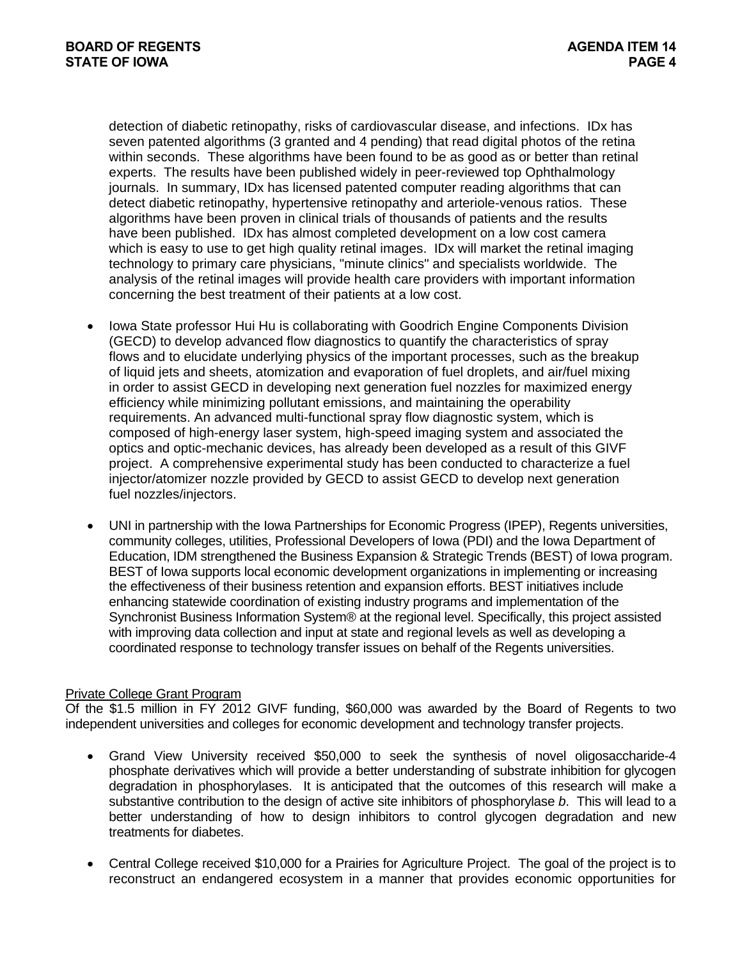detection of diabetic retinopathy, risks of cardiovascular disease, and infections. IDx has seven patented algorithms (3 granted and 4 pending) that read digital photos of the retina within seconds. These algorithms have been found to be as good as or better than retinal experts. The results have been published widely in peer-reviewed top Ophthalmology journals. In summary, IDx has licensed patented computer reading algorithms that can detect diabetic retinopathy, hypertensive retinopathy and arteriole-venous ratios. These algorithms have been proven in clinical trials of thousands of patients and the results have been published. IDx has almost completed development on a low cost camera which is easy to use to get high quality retinal images. IDx will market the retinal imaging technology to primary care physicians, "minute clinics" and specialists worldwide. The analysis of the retinal images will provide health care providers with important information concerning the best treatment of their patients at a low cost.

- Iowa State professor Hui Hu is collaborating with Goodrich Engine Components Division (GECD) to develop advanced flow diagnostics to quantify the characteristics of spray flows and to elucidate underlying physics of the important processes, such as the breakup of liquid jets and sheets, atomization and evaporation of fuel droplets, and air/fuel mixing in order to assist GECD in developing next generation fuel nozzles for maximized energy efficiency while minimizing pollutant emissions, and maintaining the operability requirements. An advanced multi-functional spray flow diagnostic system, which is composed of high-energy laser system, high-speed imaging system and associated the optics and optic-mechanic devices, has already been developed as a result of this GIVF project. A comprehensive experimental study has been conducted to characterize a fuel injector/atomizer nozzle provided by GECD to assist GECD to develop next generation fuel nozzles/injectors.
- UNI in partnership with the Iowa Partnerships for Economic Progress (IPEP), Regents universities, community colleges, utilities, Professional Developers of Iowa (PDI) and the Iowa Department of Education, IDM strengthened the Business Expansion & Strategic Trends (BEST) of Iowa program. BEST of Iowa supports local economic development organizations in implementing or increasing the effectiveness of their business retention and expansion efforts. BEST initiatives include enhancing statewide coordination of existing industry programs and implementation of the Synchronist Business Information System® at the regional level. Specifically, this project assisted with improving data collection and input at state and regional levels as well as developing a coordinated response to technology transfer issues on behalf of the Regents universities.

#### Private College Grant Program

Of the \$1.5 million in FY 2012 GIVF funding, \$60,000 was awarded by the Board of Regents to two independent universities and colleges for economic development and technology transfer projects.

- Grand View University received \$50,000 to seek the synthesis of novel oligosaccharide-4 phosphate derivatives which will provide a better understanding of substrate inhibition for glycogen degradation in phosphorylases. It is anticipated that the outcomes of this research will make a substantive contribution to the design of active site inhibitors of phosphorylase *b*. This will lead to a better understanding of how to design inhibitors to control glycogen degradation and new treatments for diabetes.
- Central College received \$10,000 for a Prairies for Agriculture Project. The goal of the project is to reconstruct an endangered ecosystem in a manner that provides economic opportunities for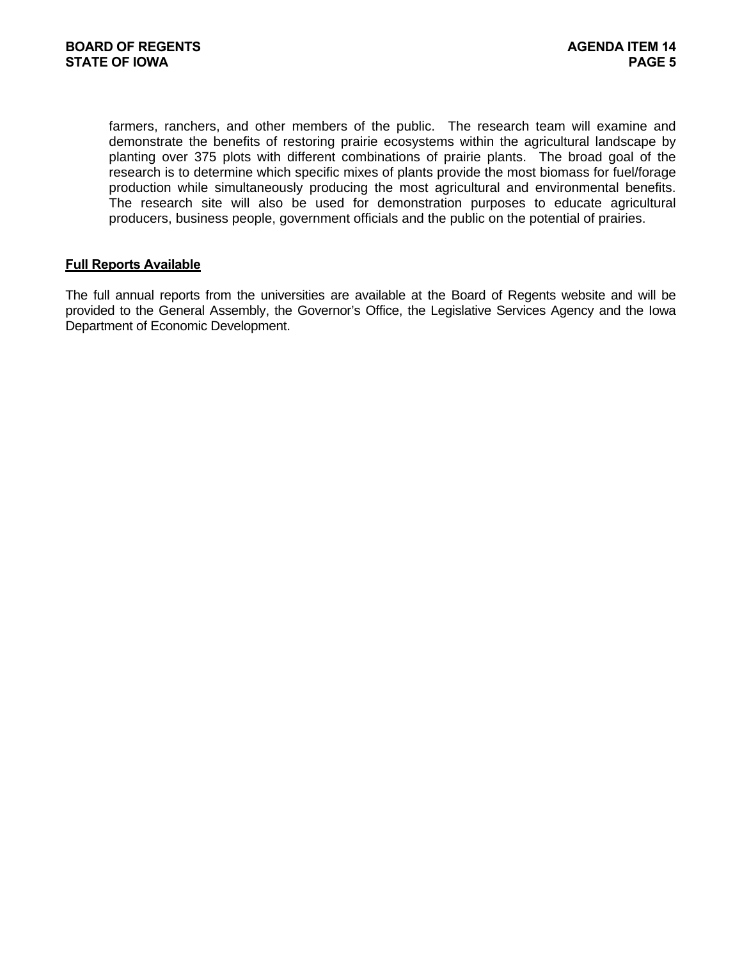farmers, ranchers, and other members of the public. The research team will examine and demonstrate the benefits of restoring prairie ecosystems within the agricultural landscape by planting over 375 plots with different combinations of prairie plants. The broad goal of the research is to determine which specific mixes of plants provide the most biomass for fuel/forage production while simultaneously producing the most agricultural and environmental benefits. The research site will also be used for demonstration purposes to educate agricultural producers, business people, government officials and the public on the potential of prairies.

#### **Full Reports Available**

The full annual reports from the universities are available at the Board of Regents website and will be provided to the General Assembly, the Governor's Office, the Legislative Services Agency and the Iowa Department of Economic Development.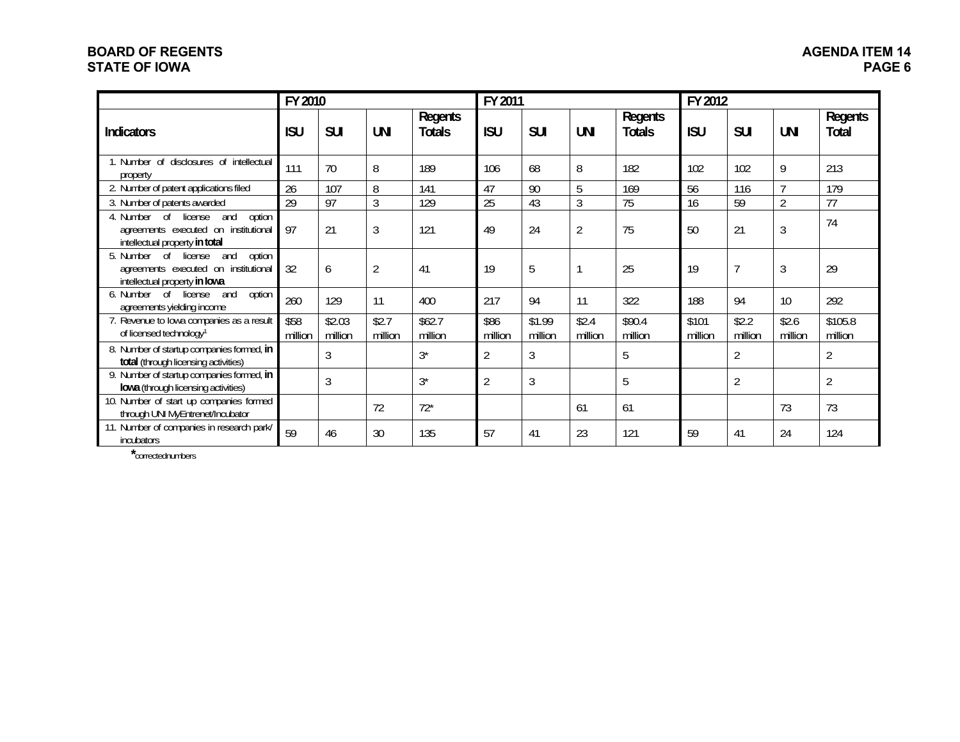# **BOARD OF REGENTS STATE OF IOWA**

|                                                                                                                    | FY 2010         |                   |                  |                          | FY 2011         |                   |                  |                          | FY 2012          |                  |                  |                         |
|--------------------------------------------------------------------------------------------------------------------|-----------------|-------------------|------------------|--------------------------|-----------------|-------------------|------------------|--------------------------|------------------|------------------|------------------|-------------------------|
| <b>Indicators</b>                                                                                                  | <b>ISU</b>      | <b>SUI</b>        | <b>UNI</b>       | Regents<br><b>Totals</b> | <b>ISU</b>      | <b>SUI</b>        | <b>UNI</b>       | Regents<br><b>Totals</b> | <b>ISU</b>       | <b>SUI</b>       | <b>UNI</b>       | Regents<br><b>Total</b> |
| 1. Number of disclosures of intellectual<br>property                                                               | 111             | 70                | 8                | 189                      | 106             | 68                | 8                | 182                      | 102              | 102              | 9                | 213                     |
| 2. Number of patent applications filed                                                                             | 26              | 107               | 8                | 141                      | 47              | 90                | 5                | 169                      | 56               | 116              | $\overline{ }$   | 179                     |
| 3. Number of patents awarded                                                                                       | 29              | 97                | 3                | 129                      | 25              | 43                | 3                | 75                       | 16               | 59               | $\overline{2}$   | 77                      |
| option<br>4. Number of<br>and<br>license<br>agreements executed on institutional<br>intellectual property in total | 97              | 21                | 3                | 121                      | 49              | 24                | $\overline{2}$   | 75                       | 50               | 21               | 3                | 74                      |
| option<br>5. Number of<br>license<br>and<br>agreements executed on institutional<br>intellectual property in lowa  | 32              | 6                 | $\overline{2}$   | 41                       | 19              | 5                 |                  | 25                       | 19               | $\overline{7}$   | 3                | 29                      |
| option<br>6. Number of<br>license<br>and<br>agreements yielding income                                             | 260             | 129               | 11               | 400                      | 217             | 94                | 11               | 322                      | 188              | 94               | 10               | 292                     |
| 7. Revenue to lowa companies as a result<br>of licensed technology <sup>1</sup>                                    | \$58<br>million | \$2.03<br>million | \$2.7<br>million | \$62.7<br>million        | \$86<br>million | \$1.99<br>million | \$2.4<br>million | \$90.4<br>million        | \$101<br>million | \$2.2<br>million | \$2.6<br>million | \$105.8<br>million      |
| 8. Number of startup companies formed, in<br>total (through licensing activities)                                  |                 | 3                 |                  | $3^*$                    | $\overline{2}$  | 3                 |                  | 5                        |                  | $\overline{2}$   |                  | $\overline{2}$          |
| 9. Number of startup companies formed, in<br>lowa (through licensing activities)                                   |                 | $\overline{3}$    |                  | $3^*$                    | $\overline{2}$  | 3                 |                  | 5                        |                  | $\overline{2}$   |                  | $\overline{2}$          |
| 10. Number of start up companies formed<br>through UNI MyEntrenet/Incubator                                        |                 |                   | 72               | $72*$                    |                 |                   | 61               | 61                       |                  |                  | 73               | 73                      |
| 11. Number of companies in research park/<br>incubators                                                            | 59              | 46                | 30               | 135                      | 57              | 41                | 23               | 121                      | 59               | 41               | 24               | 124                     |

**\***correctednumbers